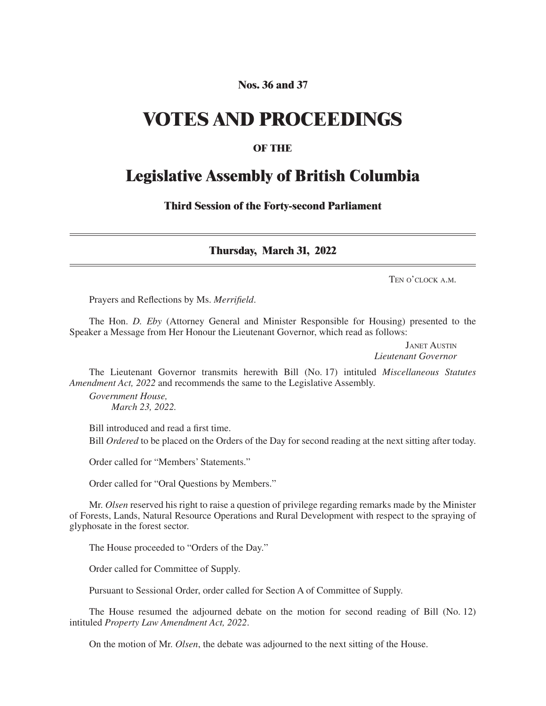# **Nos. 36 and 37**

# **VOTES AND PROCEEDINGS**

# **OF THE**

# **Legislative Assembly of British Columbia**

**Third Session of the Forty-second Parliament**

**Thursday, March 31, 2022**

Ten o'clock a.m.

Prayers and Reflections by Ms. *Merrifield*.

The Hon. *D. Eby* (Attorney General and Minister Responsible for Housing) presented to the Speaker a Message from Her Honour the Lieutenant Governor, which read as follows:

> Janet Austin *Lieutenant Governor*

The Lieutenant Governor transmits herewith Bill (No. 17) intituled *Miscellaneous Statutes Amendment Act, 2022* and recommends the same to the Legislative Assembly.

*Government House, March 23, 2022.*

Bill introduced and read a first time.

Bill *Ordered* to be placed on the Orders of the Day for second reading at the next sitting after today.

Order called for "Members' Statements."

Order called for "Oral Questions by Members."

Mr. *Olsen* reserved his right to raise a question of privilege regarding remarks made by the Minister of Forests, Lands, Natural Resource Operations and Rural Development with respect to the spraying of glyphosate in the forest sector.

The House proceeded to "Orders of the Day."

Order called for Committee of Supply.

Pursuant to Sessional Order, order called for Section A of Committee of Supply.

The House resumed the adjourned debate on the motion for second reading of Bill (No. 12) intituled *Property Law Amendment Act, 2022*.

On the motion of Mr. *Olsen*, the debate was adjourned to the next sitting of the House.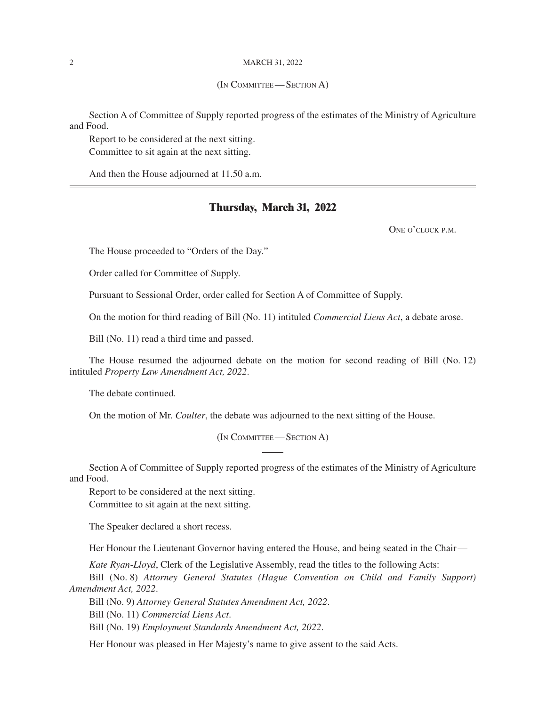#### 2 MARCH 31, 2022

#### (In Committee— Section A)

Section A of Committee of Supply reported progress of the estimates of the Ministry of Agriculture and Food.

Report to be considered at the next sitting. Committee to sit again at the next sitting.

And then the House adjourned at 11.50 a.m.

## **Thursday, March 31, 2022**

ONE O'CLOCK P.M.

The House proceeded to "Orders of the Day."

Order called for Committee of Supply.

Pursuant to Sessional Order, order called for Section A of Committee of Supply.

On the motion for third reading of Bill (No. 11) intituled *Commercial Liens Act*, a debate arose.

Bill (No. 11) read a third time and passed.

The House resumed the adjourned debate on the motion for second reading of Bill (No. 12) intituled *Property Law Amendment Act, 2022*.

The debate continued.

On the motion of Mr. *Coulter*, the debate was adjourned to the next sitting of the House.

(In Committee— Section A)

Section A of Committee of Supply reported progress of the estimates of the Ministry of Agriculture and Food.

Report to be considered at the next sitting. Committee to sit again at the next sitting.

The Speaker declared a short recess.

Her Honour the Lieutenant Governor having entered the House, and being seated in the Chair—

*Kate Ryan-Lloyd*, Clerk of the Legislative Assembly, read the titles to the following Acts:

Bill (No. 8) *Attorney General Statutes (Hague Convention on Child and Family Support) Amendment Act, 2022*.

Bill (No. 9) *Attorney General Statutes Amendment Act, 2022*.

Bill (No. 11) *Commercial Liens Act*.

Bill (No. 19) *Employment Standards Amendment Act, 2022*.

Her Honour was pleased in Her Majesty's name to give assent to the said Acts.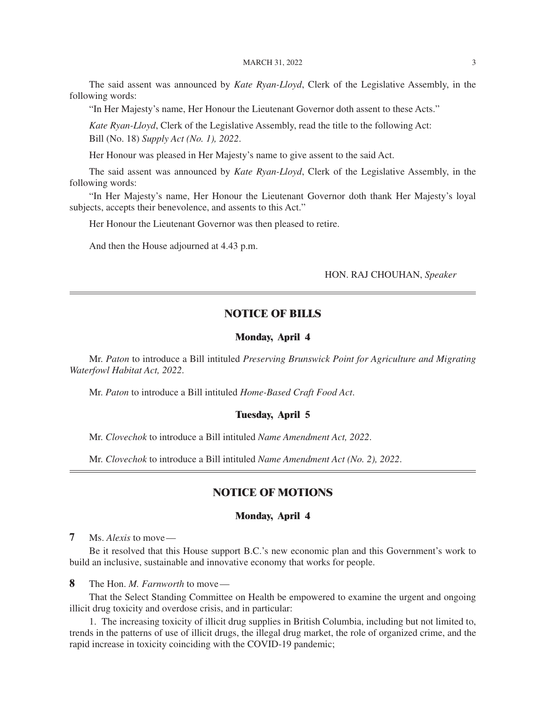#### MARCH 31, 2022 3

The said assent was announced by *Kate Ryan-Lloyd*, Clerk of the Legislative Assembly, in the following words:

"In Her Majesty's name, Her Honour the Lieutenant Governor doth assent to these Acts."

*Kate Ryan-Lloyd*, Clerk of the Legislative Assembly, read the title to the following Act: Bill (No. 18) *Supply Act (No. 1), 2022*.

Her Honour was pleased in Her Majesty's name to give assent to the said Act.

The said assent was announced by *Kate Ryan-Lloyd*, Clerk of the Legislative Assembly, in the following words:

"In Her Majesty's name, Her Honour the Lieutenant Governor doth thank Her Majesty's loyal subjects, accepts their benevolence, and assents to this Act."

Her Honour the Lieutenant Governor was then pleased to retire.

And then the House adjourned at 4.43 p.m.

HON. RAJ CHOUHAN, *Speaker*

# **NOTICE OF BILLS**

### **Monday, April 4**

Mr. *Paton* to introduce a Bill intituled *Preserving Brunswick Point for Agriculture and Migrating Waterfowl Habitat Act, 2022*.

Mr. *Paton* to introduce a Bill intituled *Home-Based Craft Food Act*.

### **Tuesday, April 5**

Mr. *Clovechok* to introduce a Bill intituled *Name Amendment Act, 2022*.

Mr. *Clovechok* to introduce a Bill intituled *Name Amendment Act (No. 2), 2022*.

# **NOTICE OF MOTIONS**

## **Monday, April 4**

**7** Ms. *Alexis* to move—

Be it resolved that this House support B.C.'s new economic plan and this Government's work to build an inclusive, sustainable and innovative economy that works for people.

**8** The Hon. *M. Farnworth* to move—

That the Select Standing Committee on Health be empowered to examine the urgent and ongoing illicit drug toxicity and overdose crisis, and in particular:

1. The increasing toxicity of illicit drug supplies in British Columbia, including but not limited to, trends in the patterns of use of illicit drugs, the illegal drug market, the role of organized crime, and the rapid increase in toxicity coinciding with the COVID-19 pandemic;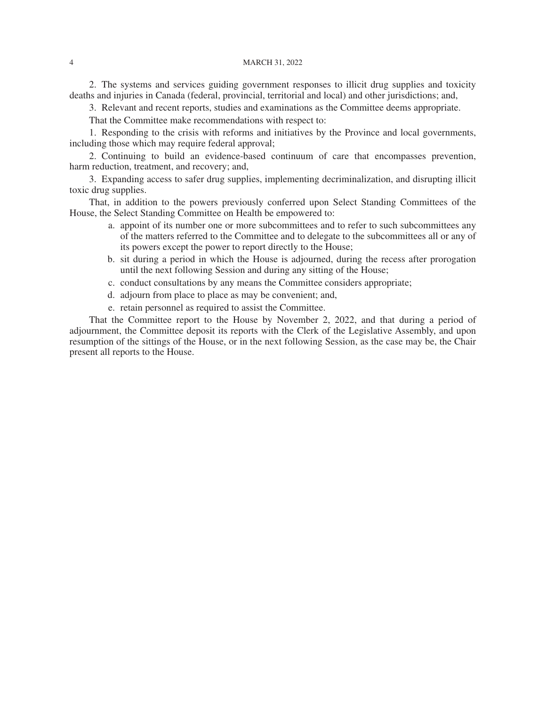#### 4 March 31, 2022

2. The systems and services guiding government responses to illicit drug supplies and toxicity deaths and injuries in Canada (federal, provincial, territorial and local) and other jurisdictions; and,

3. Relevant and recent reports, studies and examinations as the Committee deems appropriate.

That the Committee make recommendations with respect to:

1. Responding to the crisis with reforms and initiatives by the Province and local governments, including those which may require federal approval;

2. Continuing to build an evidence-based continuum of care that encompasses prevention, harm reduction, treatment, and recovery; and,

3. Expanding access to safer drug supplies, implementing decriminalization, and disrupting illicit toxic drug supplies.

That, in addition to the powers previously conferred upon Select Standing Committees of the House, the Select Standing Committee on Health be empowered to:

- a. appoint of its number one or more subcommittees and to refer to such subcommittees any of the matters referred to the Committee and to delegate to the subcommittees all or any of its powers except the power to report directly to the House;
- b. sit during a period in which the House is adjourned, during the recess after prorogation until the next following Session and during any sitting of the House;
- c. conduct consultations by any means the Committee considers appropriate;
- d. adjourn from place to place as may be convenient; and,
- e. retain personnel as required to assist the Committee.

That the Committee report to the House by November 2, 2022, and that during a period of adjournment, the Committee deposit its reports with the Clerk of the Legislative Assembly, and upon resumption of the sittings of the House, or in the next following Session, as the case may be, the Chair present all reports to the House.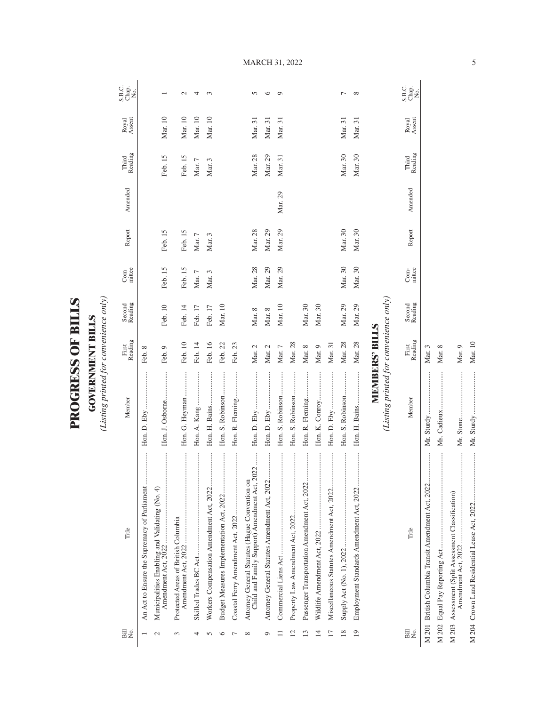| <b>KILY</b><br>F | $\equiv$ |
|------------------|----------|
| E<br>FSS         | ī<br>Ş   |
| î                |          |

(Listing printed for convenience only) *(Listing printed for convenience only)*

| Bill<br>Χó.                           | Title                                                                                           | Member                                 | Reading<br>First      | Second<br>Reading | mittee<br>Com- | Report  | Amended | Reading<br>Third | Royal<br>Assent | S.B.C.<br>Chap.<br>No. |
|---------------------------------------|-------------------------------------------------------------------------------------------------|----------------------------------------|-----------------------|-------------------|----------------|---------|---------|------------------|-----------------|------------------------|
|                                       | <br>An Act to Ensure the Supremacy of Parliament                                                |                                        | Feb. 8                |                   |                |         |         |                  |                 |                        |
| $\mathcal{C}$                         | <br>Municipalities Enabling and Validating (No. 4)                                              | Hon. J. Osborne                        | Feb. 9                | Feb. 10           | Feb. 15        | Feb. 15 |         | Feb. 15          | Mar. 10         |                        |
| 3                                     | <br>Protected Areas of British Columbia                                                         | Hon. G. Heyman                         | Feb. 10               | Feb. 14           | Feb. 15        | Feb. 15 |         | Feb. 15          | Mar. 10         | $\mathcal{L}$          |
| 4                                     |                                                                                                 |                                        | Feb. 14               | Feb. 17           | Mar. $7$       | Mar. 7  |         | Mar. 7           | Mar. 10         | 4                      |
| S                                     | <br>Workers Compensation Amendment Act, 2022                                                    | Hon. H. Bains                          | Feb. 16               | Feb. 17           | Mar. 3         | Mar. 3  |         | Mar. 3           | Mar. 10         | 3                      |
| ७                                     |                                                                                                 | Hon. S. Robinson                       | Feb. 22               | Mar. 10           |                |         |         |                  |                 |                        |
|                                       |                                                                                                 | Hon. R. Fleming                        | Feb. 23               |                   |                |         |         |                  |                 |                        |
| $\infty$                              | Child and Family Support) Amendment Act, 2022<br>Attorney General Statutes (Hague Convention on |                                        | Mar. 2                | Mar. 8            | Mar. 28        | Mar. 28 |         | Mar. 28          | Mar. 31         | $\sqrt{ }$             |
| Q                                     | <br>Attorney General Statutes Amendment Act, 2022                                               |                                        | Mar. 2                | Mar. 8            | Mar. 29        | Mar. 29 |         | Mar. 29          | Mar. 31         | $\circ$                |
|                                       |                                                                                                 | Hon. S. Robinson                       | Mar. 7                | Mar. 10           | Mar. 29        | Mar. 29 | Mar. 29 | Mar. 31          | Mar. 31         | $\circ$                |
| $\mathop{^{\scriptscriptstyle \sim}}$ |                                                                                                 | Hon. S. Robinson                       | Mar. 28               |                   |                |         |         |                  |                 |                        |
| 13                                    |                                                                                                 | Hon. R. Fleming                        | Mar. 8                | Mar. 30           |                |         |         |                  |                 |                        |
| $\overline{4}$                        |                                                                                                 |                                        | Mar. 9                | Mar. 30           |                |         |         |                  |                 |                        |
| $\overline{17}$                       | Miscellaneous Statutes Amendment Act, 2022                                                      |                                        | Mar. 31               |                   |                |         |         |                  |                 |                        |
| $\frac{8}{2}$                         |                                                                                                 | Hon. S. Robinson                       | Mar. 28               | Mar. 29           | Mar. 30        | Mar. 30 |         | Mar. 30          | Mar. 31         | $\overline{ }$         |
| 19                                    | Employment Standards Amendment Act, 2022                                                        |                                        | Mar. 28               | Mar. 29           | Mar. 30        | Mar. 30 |         | Mar. 30          | Mar. 31         | $\infty$               |
|                                       |                                                                                                 |                                        | <b>MEMBERS' BILLS</b> |                   |                |         |         |                  |                 |                        |
|                                       |                                                                                                 | (Listing printed for convenience only) |                       |                   |                |         |         |                  |                 |                        |
| Bill<br>Σó,                           | Title                                                                                           | Member                                 | Reading<br>First      | Second<br>Reading | mittee<br>Com- | Report  | Amended | Third<br>Reading | Assent<br>Royal | S.B.C.<br>Chap.<br>No. |

MARCH 31, 2022

5

M 201 British Columbia Transit Amendment Act, 2022................. Mr. Sturdy ........................ Mar. 3 M 202 Equal Pay Reporting Act...................................................... Ms. Cadieux ..................... Mar. 8

M 201 British Columbia Transit Amendment Act, 2022...................

M 203 Assessment (Split Assessment Classification)

Amendment Act, 2022 ................................................... Mr. Stone.......................... Mar. 9

M 204 Crown Land Residential Lease Act, 2022............................ Mr. Sturdy ........................ Mar. 10

Mr. Sturdy .......

Mar. 10 Mar. 9

> $\begin{minipage}{0.9\linewidth} \begin{tabular}{l} \hline \multicolumn{3}{c}{\textbf{0.9\linewidth}} \end{tabular} \end{minipage} \end{minipage} \vspace{-0.5cm}$  $\begin{minipage}{0.9\linewidth} \begin{tabular}{l} \hline \textbf{0.9\linewidth} & \textbf{0.9\linewidth} \end{tabular} \end{minipage} \begin{minipage}{0.9\linewidth} \begin{tabular}{l} \hline \textbf{1.9\linewidth} & \textbf{0.9\linewidth} \end{tabular} \end{minipage} \begin{minipage}{0.9\linewidth} \begin{tabular}{l} \hline \textbf{1.9\linewidth} & \textbf{0.9\linewidth} \end{tabular} \end{minipage} \begin{minipage}{0.9\linewidth} \end{minipage} \begin{minipage}{0.9\linewidth} \end{minipage} \begin{minipage$

Mr. Stone........

Mar.  $8$ Mar. 3

Ms. Cadieux .......

 $\vdots$ 

Mr. Sturdy ......